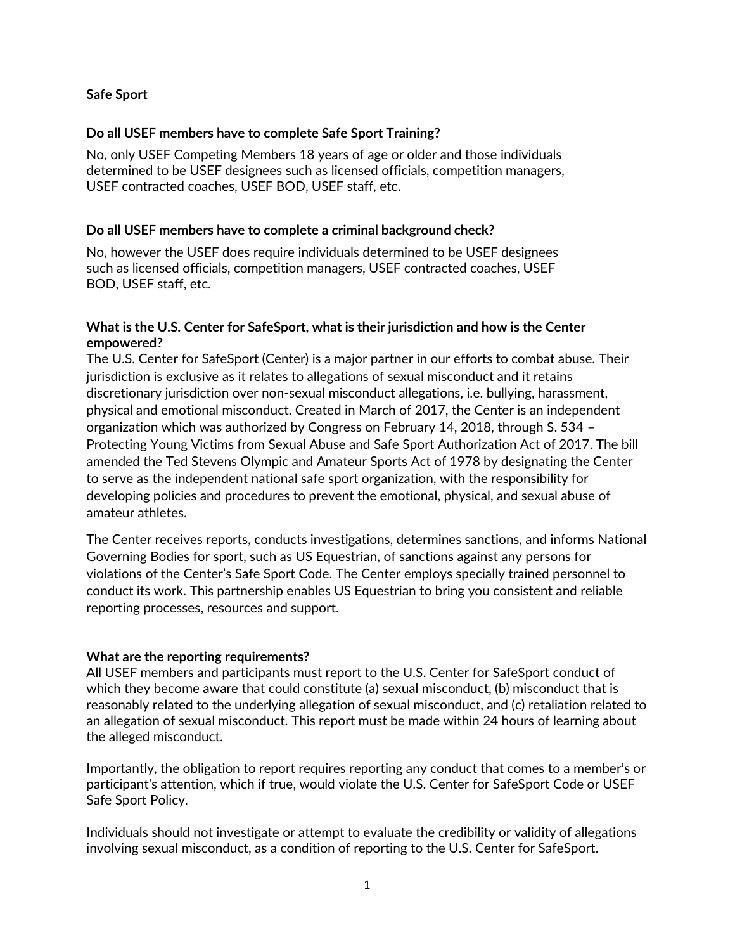# **Safe Sport**

### **Do all USEF members have to complete Safe Sport Training?**

No, only USEF Competing Members 18 years of age or older and those individuals determined to be USEF designees such as licensed officials, competition managers, USEF contracted coaches, USEF BOD, USEF staff, etc.

### **Do all USEF members have to complete a criminal background check?**

No, however the USEF does require individuals determined to be USEF designees such as licensed officials, competition managers, USEF contracted coaches, USEF BOD, USEF staff, etc.

# **What is the U.S. Center for SafeSport, what is their jurisdiction and how is the Center empowered?**

The U.S. Center for SafeSport (Center) is a major partner in our efforts to combat abuse. Their jurisdiction is exclusive as it relates to allegations of sexual misconduct and it retains discretionary jurisdiction over non-sexual misconduct allegations, i.e. bullying, harassment, physical and emotional misconduct. Created in March of 2017, the Center is an independent organization which was authorized by Congress on February 14, 2018, through S. 534 – Protecting Young Victims from Sexual Abuse and Safe Sport Authorization Act of 2017. The bill amended the Ted Stevens Olympic and Amateur Sports Act of 1978 by designating the Center to serve as the independent national safe sport organization, with the responsibility for developing policies and procedures to prevent the emotional, physical, and sexual abuse of amateur athletes.

The Center receives reports, conducts investigations, determines sanctions, and informs National Governing Bodies for sport, such as US Equestrian, of sanctions against any persons for violations of the Center's Safe Sport Code. The Center employs specially trained personnel to conduct its work. This partnership enables US Equestrian to bring you consistent and reliable reporting processes, resources and support.

# **What are the reporting requirements?**

All USEF members and participants must report to the U.S. Center for SafeSport conduct of which they become aware that could constitute (a) sexual misconduct, (b) misconduct that is reasonably related to the underlying allegation of sexual misconduct, and (c) retaliation related to an allegation of sexual misconduct. This report must be made within 24 hours of learning about the alleged misconduct.

Importantly, the obligation to report requires reporting any conduct that comes to a member's or participant's attention, which if true, would violate the U.S. Center for SafeSport Code or USEF Safe Sport Policy.

Individuals should not investigate or attempt to evaluate the credibility or validity of allegations involving sexual misconduct, as a condition of reporting to the U.S. Center for SafeSport.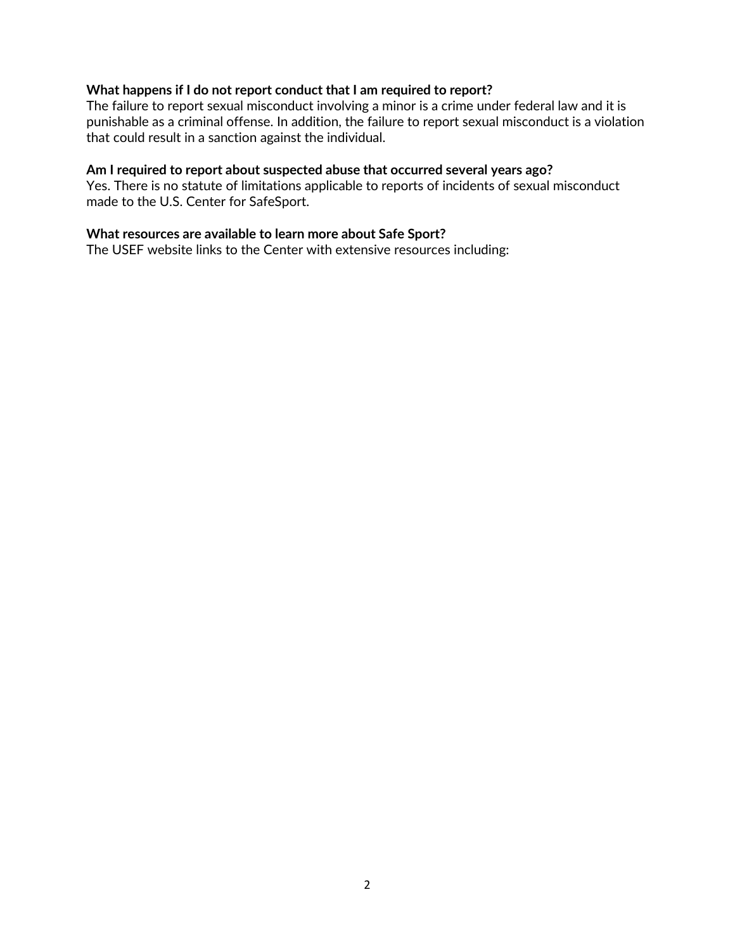#### **What happens if I do not report conduct that I am required to report?**

The failure to report sexual misconduct involving a minor is a crime under federal law and it is punishable as a criminal offense. In addition, the failure to report sexual misconduct is a violation that could result in a sanction against the individual.

#### **Am I required to report about suspected abuse that occurred several years ago?**

Yes. There is no statute of limitations applicable to reports of incidents of sexual misconduct made to the U.S. Center for SafeSport.

#### **What resources are available to learn more about Safe Sport?**

The USEF website links to the Center with extensive resources including: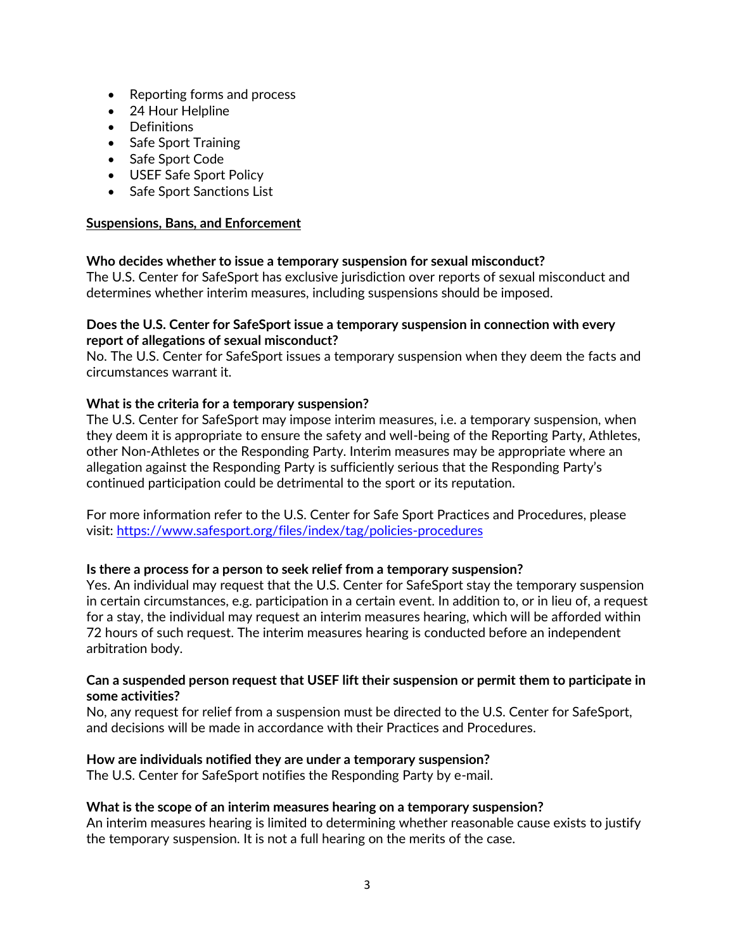- Reporting forms and process
- 24 Hour Helpline
- Definitions
- Safe Sport Training
- Safe Sport Code
- USEF Safe Sport Policy
- Safe Sport Sanctions List

# **Suspensions, Bans, and Enforcement**

# **Who decides whether to issue a temporary suspension for sexual misconduct?**

The U.S. Center for SafeSport has exclusive jurisdiction over reports of sexual misconduct and determines whether interim measures, including suspensions should be imposed.

### **Does the U.S. Center for SafeSport issue a temporary suspension in connection with every report of allegations of sexual misconduct?**

No. The U.S. Center for SafeSport issues a temporary suspension when they deem the facts and circumstances warrant it.

# **What is the criteria for a temporary suspension?**

The U.S. Center for SafeSport may impose interim measures, i.e. a temporary suspension, when they deem it is appropriate to ensure the safety and well-being of the Reporting Party, Athletes, other Non-Athletes or the Responding Party. Interim measures may be appropriate where an allegation against the Responding Party is sufficiently serious that the Responding Party's continued participation could be detrimental to the sport or its reputation.

For more information refer to the U.S. Center for Safe Sport Practices and Procedures, please visit:<https://www.safesport.org/files/index/tag/policies-procedures>

# **Is there a process for a person to seek relief from a temporary suspension?**

Yes. An individual may request that the U.S. Center for SafeSport stay the temporary suspension in certain circumstances, e.g. participation in a certain event. In addition to, or in lieu of, a request for a stay, the individual may request an interim measures hearing, which will be afforded within 72 hours of such request. The interim measures hearing is conducted before an independent arbitration body.

# **Can a suspended person request that USEF lift their suspension or permit them to participate in some activities?**

No, any request for relief from a suspension must be directed to the U.S. Center for SafeSport, and decisions will be made in accordance with their Practices and Procedures.

#### **How are individuals notified they are under a temporary suspension?**

The U.S. Center for SafeSport notifies the Responding Party by e-mail.

#### **What is the scope of an interim measures hearing on a temporary suspension?**

An interim measures hearing is limited to determining whether reasonable cause exists to justify the temporary suspension. It is not a full hearing on the merits of the case.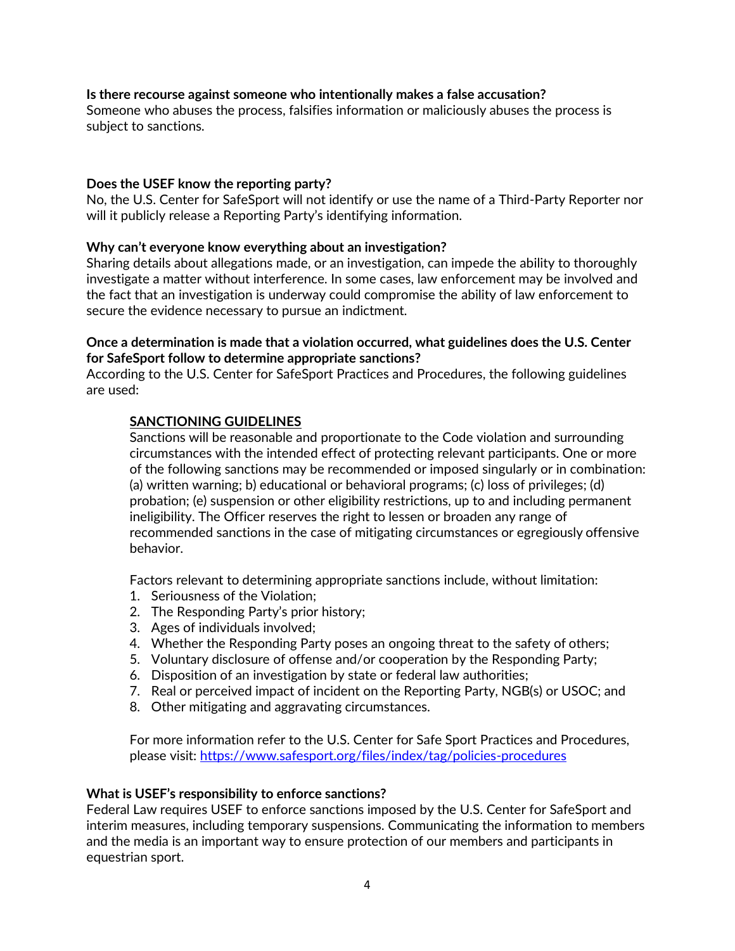# **Is there recourse against someone who intentionally makes a false accusation?**

Someone who abuses the process, falsifies information or maliciously abuses the process is subject to sanctions.

#### **Does the USEF know the reporting party?**

No, the U.S. Center for SafeSport will not identify or use the name of a Third-Party Reporter nor will it publicly release a Reporting Party's identifying information.

#### **Why can't everyone know everything about an investigation?**

Sharing details about allegations made, or an investigation, can impede the ability to thoroughly investigate a matter without interference. In some cases, law enforcement may be involved and the fact that an investigation is underway could compromise the ability of law enforcement to secure the evidence necessary to pursue an indictment.

#### **Once a determination is made that a violation occurred, what guidelines does the U.S. Center for SafeSport follow to determine appropriate sanctions?**

According to the U.S. Center for SafeSport Practices and Procedures, the following guidelines are used:

#### **SANCTIONING GUIDELINES**

Sanctions will be reasonable and proportionate to the Code violation and surrounding circumstances with the intended effect of protecting relevant participants. One or more of the following sanctions may be recommended or imposed singularly or in combination: (a) written warning; b) educational or behavioral programs; (c) loss of privileges; (d) probation; (e) suspension or other eligibility restrictions, up to and including permanent ineligibility. The Officer reserves the right to lessen or broaden any range of recommended sanctions in the case of mitigating circumstances or egregiously offensive behavior.

Factors relevant to determining appropriate sanctions include, without limitation:

- 1. Seriousness of the Violation;
- 2. The Responding Party's prior history;
- 3. Ages of individuals involved;
- 4. Whether the Responding Party poses an ongoing threat to the safety of others;
- 5. Voluntary disclosure of offense and/or cooperation by the Responding Party;
- 6. Disposition of an investigation by state or federal law authorities;
- 7. Real or perceived impact of incident on the Reporting Party, NGB(s) or USOC; and
- 8. Other mitigating and aggravating circumstances.

For more information refer to the U.S. Center for Safe Sport Practices and Procedures, please visit:<https://www.safesport.org/files/index/tag/policies-procedures>

#### **What is USEF's responsibility to enforce sanctions?**

Federal Law requires USEF to enforce sanctions imposed by the U.S. Center for SafeSport and interim measures, including temporary suspensions. Communicating the information to members and the media is an important way to ensure protection of our members and participants in equestrian sport.